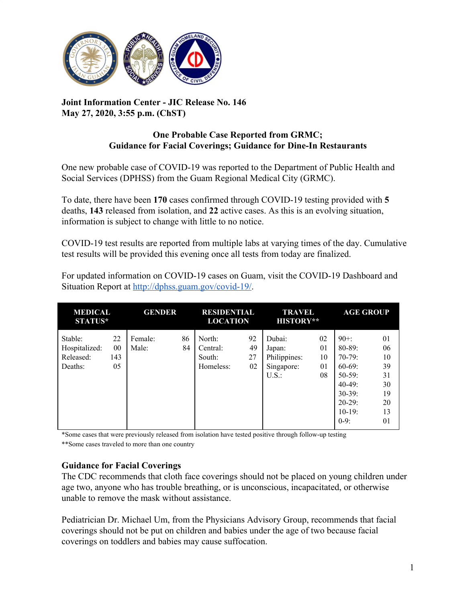

## **Joint Information Center - JIC Release No. 146 May 27, 2020, 3:55 p.m. (ChST)**

## **One Probable Case Reported from GRMC; Guidance for Facial Coverings; Guidance for Dine-In Restaurants**

One new probable case of COVID-19 was reported to the Department of Public Health and Social Services (DPHSS) from the Guam Regional Medical City (GRMC).

To date, there have been **170** cases confirmed through COVID-19 testing provided with **5** deaths, **143** released from isolation, and **22** active cases. As this is an evolving situation, information is subject to change with little to no notice.

COVID-19 test results are reported from multiple labs at varying times of the day. Cumulative test results will be provided this evening once all tests from today are finalized.

| <b>MEDICAL</b><br><b>STATUS*</b>                 |                       | <b>GENDER</b>    |          | <b>RESIDENTIAL</b><br><b>LOCATION</b>     |                      | <b>TRAVEL</b><br><b>HISTORY**</b>                      |                            | <b>AGE GROUP</b>                                                                                                           |                                                          |
|--------------------------------------------------|-----------------------|------------------|----------|-------------------------------------------|----------------------|--------------------------------------------------------|----------------------------|----------------------------------------------------------------------------------------------------------------------------|----------------------------------------------------------|
| Stable:<br>Hospitalized:<br>Released:<br>Deaths: | 22<br>00<br>143<br>05 | Female:<br>Male: | 86<br>84 | North:<br>Central:<br>South:<br>Homeless: | 92<br>49<br>27<br>02 | Dubai:<br>Japan:<br>Philippines:<br>Singapore:<br>U.S. | 02<br>01<br>10<br>01<br>08 | $90+$ :<br>$80 - 89$ :<br>$70-79$ :<br>$60-69$ :<br>$50-59$ :<br>$40-49$ :<br>$30-39$ :<br>$20-29$ :<br>$10-19:$<br>$0-9:$ | 01<br>06<br>10<br>39<br>31<br>30<br>19<br>20<br>13<br>01 |

For updated information on COVID-19 cases on Guam, visit the COVID-19 Dashboard and Situation Report at [http://dphss.guam.gov/covid-19/.](http://dphss.guam.gov/covid-19/)

\*Some cases that were previously released from isolation have tested positive through follow-up testing

\*\*Some cases traveled to more than one country

## **Guidance for Facial Coverings**

The CDC recommends that cloth face coverings should not be placed on young children under age two, anyone who has trouble breathing, or is unconscious, incapacitated, or otherwise unable to remove the mask without assistance.

Pediatrician Dr. Michael Um, from the Physicians Advisory Group, recommends that facial coverings should not be put on children and babies under the age of two because facial coverings on toddlers and babies may cause suffocation.